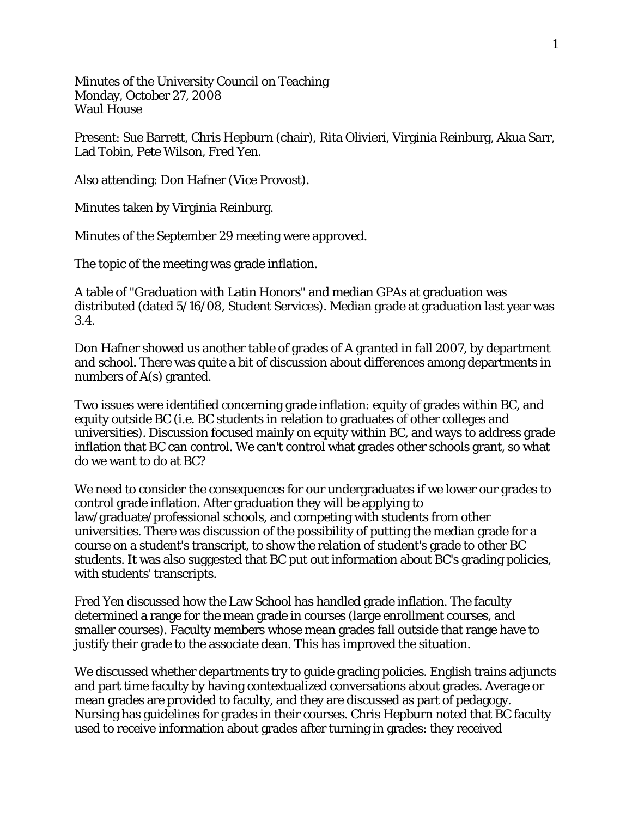Minutes of the University Council on Teaching Monday, October 27, 2008 Waul House

Present: Sue Barrett, Chris Hepburn (chair), Rita Olivieri, Virginia Reinburg, Akua Sarr, Lad Tobin, Pete Wilson, Fred Yen.

Also attending: Don Hafner (Vice Provost).

Minutes taken by Virginia Reinburg.

Minutes of the September 29 meeting were approved.

The topic of the meeting was grade inflation.

A table of "Graduation with Latin Honors" and median GPAs at graduation was distributed (dated 5/16/08, Student Services). Median grade at graduation last year was 3.4.

Don Hafner showed us another table of grades of A granted in fall 2007, by department and school. There was quite a bit of discussion about differences among departments in numbers of A(s) granted.

Two issues were identified concerning grade inflation: equity of grades within BC, and equity outside BC (i.e. BC students in relation to graduates of other colleges and universities). Discussion focused mainly on equity within BC, and ways to address grade inflation that BC can control. We can't control what grades other schools grant, so what do we want to do at BC?

We need to consider the consequences for our undergraduates if we lower our grades to control grade inflation. After graduation they will be applying to law/graduate/professional schools, and competing with students from other universities. There was discussion of the possibility of putting the median grade for a course on a student's transcript, to show the relation of student's grade to other BC students. It was also suggested that BC put out information about BC's grading policies, with students' transcripts.

Fred Yen discussed how the Law School has handled grade inflation. The faculty determined a range for the mean grade in courses (large enrollment courses, and smaller courses). Faculty members whose mean grades fall outside that range have to justify their grade to the associate dean. This has improved the situation.

We discussed whether departments try to guide grading policies. English trains adjuncts and part time faculty by having contextualized conversations about grades. Average or mean grades are provided to faculty, and they are discussed as part of pedagogy. Nursing has guidelines for grades in their courses. Chris Hepburn noted that BC faculty used to receive information about grades after turning in grades: they received